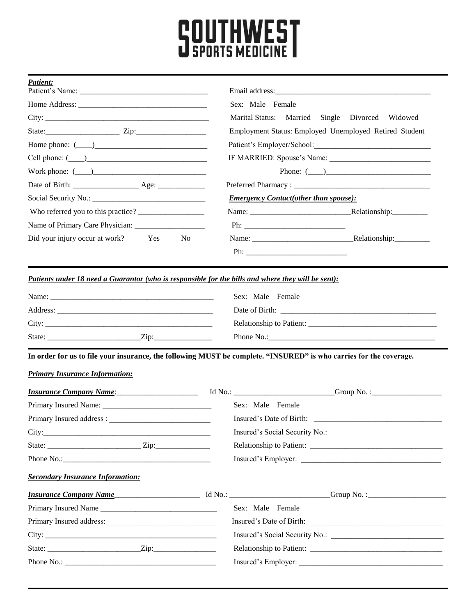## **SOUTHWEST**

| Patient: |  |  |
|----------|--|--|
|          |  |  |

|                                                                                                                                                                                                                                                                               | Email address:   |                                                                                                    |  |  |  |  |  |
|-------------------------------------------------------------------------------------------------------------------------------------------------------------------------------------------------------------------------------------------------------------------------------|------------------|----------------------------------------------------------------------------------------------------|--|--|--|--|--|
|                                                                                                                                                                                                                                                                               | Sex: Male Female | Marital Status: Married Single Divorced Widowed                                                    |  |  |  |  |  |
|                                                                                                                                                                                                                                                                               |                  |                                                                                                    |  |  |  |  |  |
| State: Zip: Zip:                                                                                                                                                                                                                                                              |                  | Employment Status: Employed Unemployed Retired Student<br>Patient's Employer/School: New York 1997 |  |  |  |  |  |
| Home phone: $(\_\_)$                                                                                                                                                                                                                                                          |                  |                                                                                                    |  |  |  |  |  |
| $Cell$ phone: $\qquad \qquad$                                                                                                                                                                                                                                                 |                  |                                                                                                    |  |  |  |  |  |
| Work phone: $(\_\_)$                                                                                                                                                                                                                                                          |                  | Phone: $(\_\_)$                                                                                    |  |  |  |  |  |
|                                                                                                                                                                                                                                                                               |                  |                                                                                                    |  |  |  |  |  |
|                                                                                                                                                                                                                                                                               |                  | <b>Emergency Contact(other than spouse):</b>                                                       |  |  |  |  |  |
|                                                                                                                                                                                                                                                                               |                  |                                                                                                    |  |  |  |  |  |
|                                                                                                                                                                                                                                                                               |                  |                                                                                                    |  |  |  |  |  |
| Did your injury occur at work? Yes No                                                                                                                                                                                                                                         |                  |                                                                                                    |  |  |  |  |  |
|                                                                                                                                                                                                                                                                               |                  |                                                                                                    |  |  |  |  |  |
| Patients under 18 need a Guarantor (who is responsible for the bills and where they will be sent):                                                                                                                                                                            |                  |                                                                                                    |  |  |  |  |  |
|                                                                                                                                                                                                                                                                               | Sex: Male Female |                                                                                                    |  |  |  |  |  |
|                                                                                                                                                                                                                                                                               |                  |                                                                                                    |  |  |  |  |  |
|                                                                                                                                                                                                                                                                               |                  |                                                                                                    |  |  |  |  |  |
|                                                                                                                                                                                                                                                                               |                  |                                                                                                    |  |  |  |  |  |
| In order for us to file your insurance, the following MUST be complete. "INSURED" is who carries for the coverage.                                                                                                                                                            |                  |                                                                                                    |  |  |  |  |  |
|                                                                                                                                                                                                                                                                               |                  |                                                                                                    |  |  |  |  |  |
|                                                                                                                                                                                                                                                                               |                  |                                                                                                    |  |  |  |  |  |
|                                                                                                                                                                                                                                                                               | Sex: Male Female |                                                                                                    |  |  |  |  |  |
|                                                                                                                                                                                                                                                                               |                  |                                                                                                    |  |  |  |  |  |
|                                                                                                                                                                                                                                                                               |                  | Insured's Social Security No.:                                                                     |  |  |  |  |  |
| <b>Primary Insurance Information:</b><br><i>Insurance Company Name</i> : 1d No.: 15 Mo.: 1 Mo.: 15 Mo.: 15 Mo.: 15 Mo.: 15 Mo.: 15 Mo.: 15 Mo.: 15 Mo.: 15 Mo.: 15 Mo.: 15 Mo.: 15 Mo.: 15 Mo.: 15 Mo.: 15 Mo.: 15 Mo.: 15 Mo.: 15 Mo.: 15 Mo.: 15 Mo.: 15 Mo.: 15 Mo.: 15 Mo |                  |                                                                                                    |  |  |  |  |  |
| <b>Secondary Insurance Information:</b>                                                                                                                                                                                                                                       |                  |                                                                                                    |  |  |  |  |  |
| <i>Insurance Company Name</i> Manual Most Most Manual Most Comp No. : Comp No. : Company Name                                                                                                                                                                                 |                  |                                                                                                    |  |  |  |  |  |
| Primary Insured Name                                                                                                                                                                                                                                                          | Sex: Male Female |                                                                                                    |  |  |  |  |  |
|                                                                                                                                                                                                                                                                               |                  |                                                                                                    |  |  |  |  |  |
|                                                                                                                                                                                                                                                                               |                  |                                                                                                    |  |  |  |  |  |
|                                                                                                                                                                                                                                                                               |                  |                                                                                                    |  |  |  |  |  |